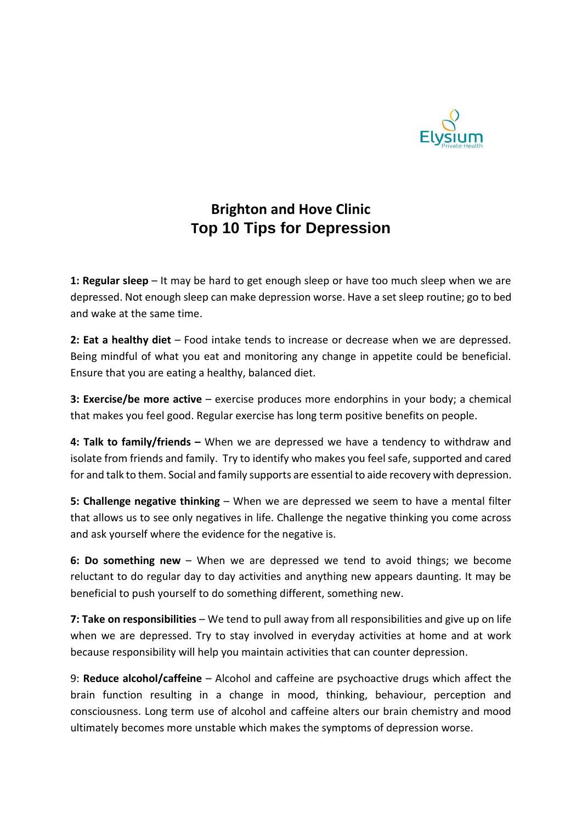

## **Brighton and Hove Clinic Top 10 Tips for Depression**

**1: Regular sleep** – It may be hard to get enough sleep or have too much sleep when we are depressed. Not enough sleep can make depression worse. Have a set sleep routine; go to bed and wake at the same time.

**2: Eat a healthy diet** – Food intake tends to increase or decrease when we are depressed. Being mindful of what you eat and monitoring any change in appetite could be beneficial. Ensure that you are eating a healthy, balanced diet.

**3: Exercise/be more active** – exercise produces more endorphins in your body; a chemical that makes you feel good. Regular exercise has long term positive benefits on people.

**4: Talk to family/friends –** When we are depressed we have a tendency to withdraw and isolate from friends and family. Try to identify who makes you feel safe, supported and cared for and talk to them. Social and family supports are essential to aide recovery with depression.

**5: Challenge negative thinking** – When we are depressed we seem to have a mental filter that allows us to see only negatives in life. Challenge the negative thinking you come across and ask yourself where the evidence for the negative is.

**6: Do something new** – When we are depressed we tend to avoid things; we become reluctant to do regular day to day activities and anything new appears daunting. It may be beneficial to push yourself to do something different, something new.

**7: Take on responsibilities** – We tend to pull away from all responsibilities and give up on life when we are depressed. Try to stay involved in everyday activities at home and at work because responsibility will help you maintain activities that can counter depression.

9: **Reduce alcohol/caffeine** – Alcohol and caffeine are psychoactive drugs which affect the brain function resulting in a change in mood, thinking, behaviour, perception and consciousness. Long term use of alcohol and caffeine alters our brain chemistry and mood ultimately becomes more unstable which makes the symptoms of depression worse.